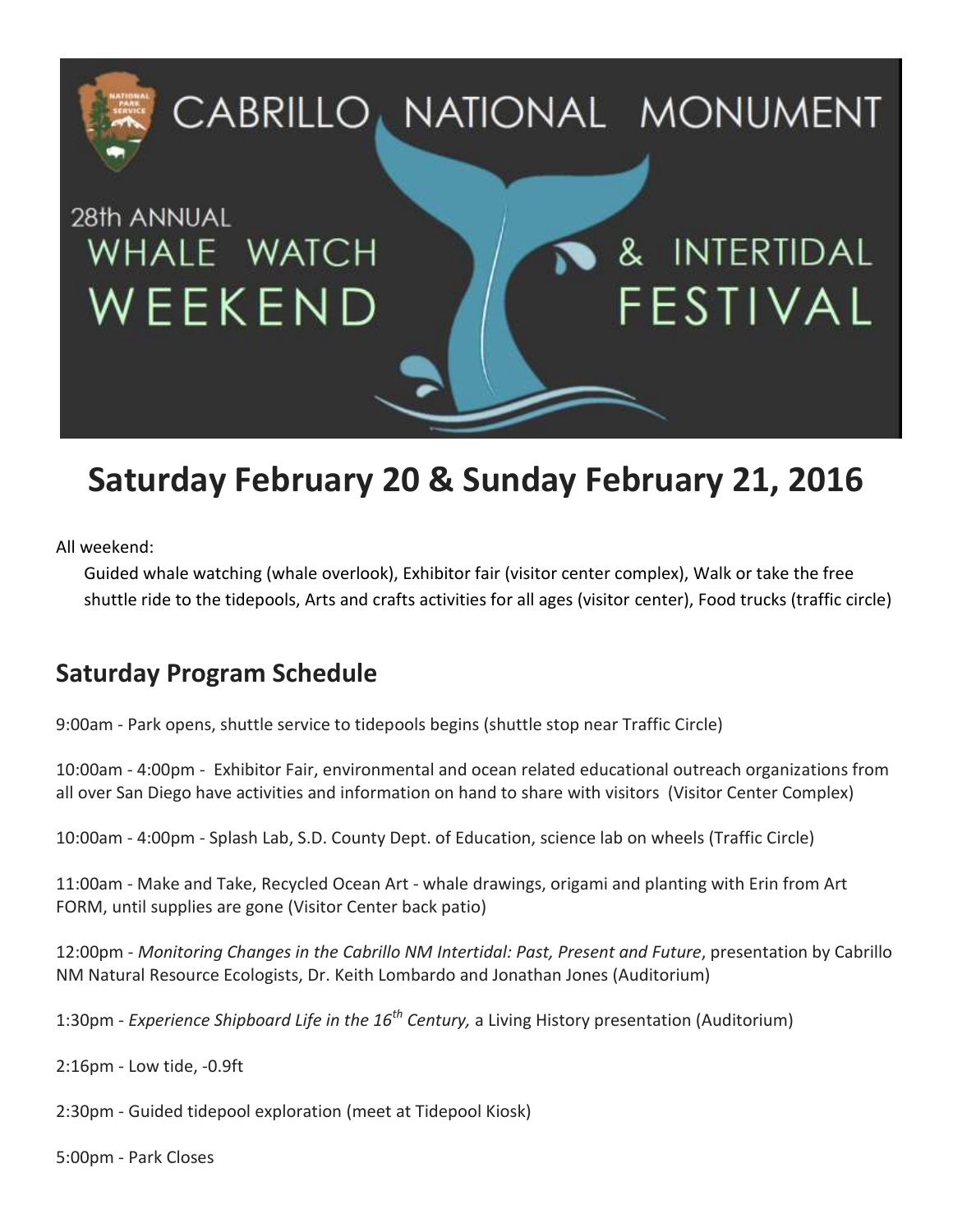

## **Saturday February 20 & Sunday February 21, 2016**

All weekend:

Guided whale watching (whale overlook), Exhibitor fair (visitor center complex), Walk or take the free shuttle ride to the tidepools, Arts and crafts activities for all ages (visitor center), Food trucks (traffic circle)

#### **Saturday Program Schedule**

9:00am - Park opens, shuttle service to tidepools begins (shuttle stop near Traffic Circle)

10:00am - 4:00pm - Exhibitor Fair, environmental and ocean related educational outreach organizations from all over San Diego have activities and information on hand to share with visitors (Visitor Center Complex)

10:00am - 4:00pm - Splash Lab, S.D. County Dept. of Education, science lab on wheels (Traffic Circle)

11:00am - Make and Take, Recycled Ocean Art - whale drawings, origami and planting with Erin from Art FORM, until supplies are gone (Visitor Center back patio)

12:00pm - *Monitoring Changes in the Cabrillo NM Intertidal: Past, Present and Future*, presentation by Cabrillo NM Natural Resource Ecologists, Dr. Keith Lombardo and Jonathan Jones (Auditorium)

1:30pm - *Experience Shipboard Life in the 16th Century,* a Living History presentation (Auditorium)

2:16pm - Low tide, -0.9ft

2:30pm - Guided tidepool exploration (meet at Tidepool Kiosk)

5:00pm - Park Closes